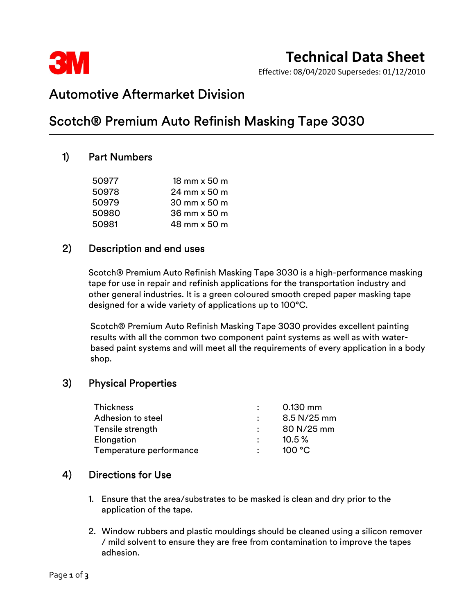

# Technical Data Sheet

Effective: 08/04/2020 Supersedes: 01/12/2010

## Automotive Aftermarket Division

## Scotch® Premium Auto Refinish Masking Tape 3030

## 1) Part Numbers

| 50977 | $18$ mm $\times$ 50 m |
|-------|-----------------------|
| 50978 | 24 mm x 50 m          |
| 50979 | 30 mm x 50 m          |
| 50980 | 36 mm x 50 m          |
| 50981 | 48 mm x 50 m          |

## 2) Description and end uses

 Scotch® Premium Auto Refinish Masking Tape 3030 is a high-performance masking tape for use in repair and refinish applications for the transportation industry and other general industries. It is a green coloured smooth creped paper masking tape designed for a wide variety of applications up to 100°C.

 Scotch® Premium Auto Refinish Masking Tape 3030 provides excellent painting results with all the common two component paint systems as well as with waterbased paint systems and will meet all the requirements of every application in a body shop.

## 3) Physical Properties

| <b>Thickness</b>        |                      | $0.130$ mm  |
|-------------------------|----------------------|-------------|
| Adhesion to steel       | $\ddot{\phantom{a}}$ | 8.5 N/25 mm |
| Tensile strength        |                      | 80 N/25 mm  |
| Elongation              | $\ddot{\phantom{a}}$ | $10.5\%$    |
| Temperature performance | $\bullet$            | 100 °C      |

## 4) Directions for Use

- 1. Ensure that the area/substrates to be masked is clean and dry prior to the application of the tape.
- 2. Window rubbers and plastic mouldings should be cleaned using a silicon remover / mild solvent to ensure they are free from contamination to improve the tapes adhesion.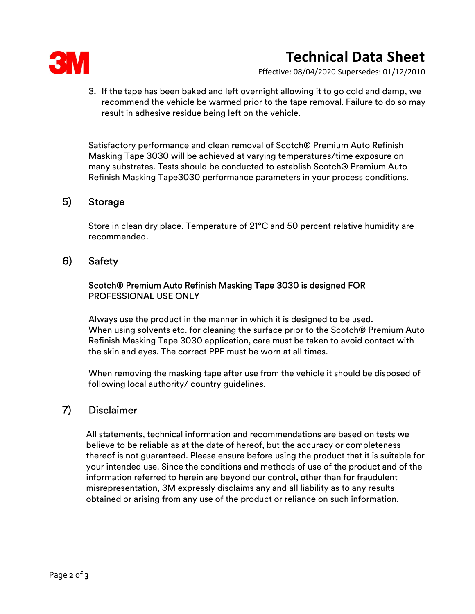

# Technical Data Sheet

Effective: 08/04/2020 Supersedes: 01/12/2010

3. If the tape has been baked and left overnight allowing it to go cold and damp, we recommend the vehicle be warmed prior to the tape removal. Failure to do so may result in adhesive residue being left on the vehicle.

Satisfactory performance and clean removal of Scotch® Premium Auto Refinish Masking Tape 3030 will be achieved at varying temperatures/time exposure on many substrates. Tests should be conducted to establish Scotch® Premium Auto Refinish Masking Tape3030 performance parameters in your process conditions.

## 5) Storage

 Store in clean dry place. Temperature of 21°C and 50 percent relative humidity are recommended.

## 6) Safety

#### Scotch® Premium Auto Refinish Masking Tape 3030 is designed FOR PROFESSIONAL USE ONLY

 Always use the product in the manner in which it is designed to be used. When using solvents etc. for cleaning the surface prior to the Scotch® Premium Auto Refinish Masking Tape 3030 application, care must be taken to avoid contact with the skin and eyes. The correct PPE must be worn at all times.

When removing the masking tape after use from the vehicle it should be disposed of following local authority/ country guidelines.<br>**7) Disclaimer** 

 All statements, technical information and recommendations are based on tests we believe to be reliable as at the date of hereof, but the accuracy or completeness thereof is not guaranteed. Please ensure before using the product that it is suitable for your intended use. Since the conditions and methods of use of the product and of the information referred to herein are beyond our control, other than for fraudulent misrepresentation, 3M expressly disclaims any and all liability as to any results obtained or arising from any use of the product or reliance on such information.